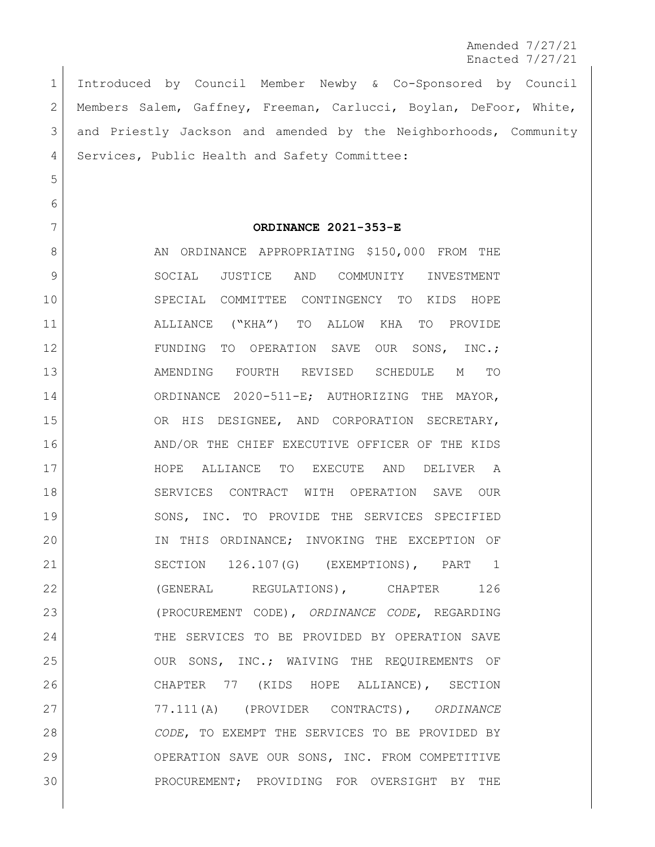Amended 7/27/21 Enacted 7/27/21

 Introduced by Council Member Newby & Co-Sponsored by Council Members Salem, Gaffney, Freeman, Carlucci, Boylan, DeFoor, White, and Priestly Jackson and amended by the Neighborhoods, Community 4 Services, Public Health and Safety Committee:

5

6

## 7 **ORDINANCE 2021-353-E**

8 AN ORDINANCE APPROPRIATING \$150,000 FROM THE 9 SOCIAL JUSTICE AND COMMUNITY INVESTMENT 10 SPECIAL COMMITTEE CONTINGENCY TO KIDS HOPE 11 ALLIANCE ("KHA") TO ALLOW KHA TO PROVIDE 12 FUNDING TO OPERATION SAVE OUR SONS, INC.; 13 AMENDING FOURTH REVISED SCHEDULE M TO 14 ORDINANCE 2020-511-E; AUTHORIZING THE MAYOR, 15 OR HIS DESIGNEE, AND CORPORATION SECRETARY, 16 AND/OR THE CHIEF EXECUTIVE OFFICER OF THE KIDS 17 HOPE ALLIANCE TO EXECUTE AND DELIVER A 18 SERVICES CONTRACT WITH OPERATION SAVE OUR 19 SONS, INC. TO PROVIDE THE SERVICES SPECIFIED 20 IN THIS ORDINANCE; INVOKING THE EXCEPTION OF 21 SECTION 126.107(G) (EXEMPTIONS), PART 1 22 (GENERAL REGULATIONS), CHAPTER 126 23 (PROCUREMENT CODE), *ORDINANCE CODE*, REGARDING 24 THE SERVICES TO BE PROVIDED BY OPERATION SAVE 25 OUR SONS, INC.; WAIVING THE REQUIREMENTS OF 26 CHAPTER 77 (KIDS HOPE ALLIANCE), SECTION 27 77.111(A) (PROVIDER CONTRACTS), *ORDINANCE*  28 *CODE*, TO EXEMPT THE SERVICES TO BE PROVIDED BY 29 OPERATION SAVE OUR SONS, INC. FROM COMPETITIVE 30 PROCUREMENT; PROVIDING FOR OVERSIGHT BY THE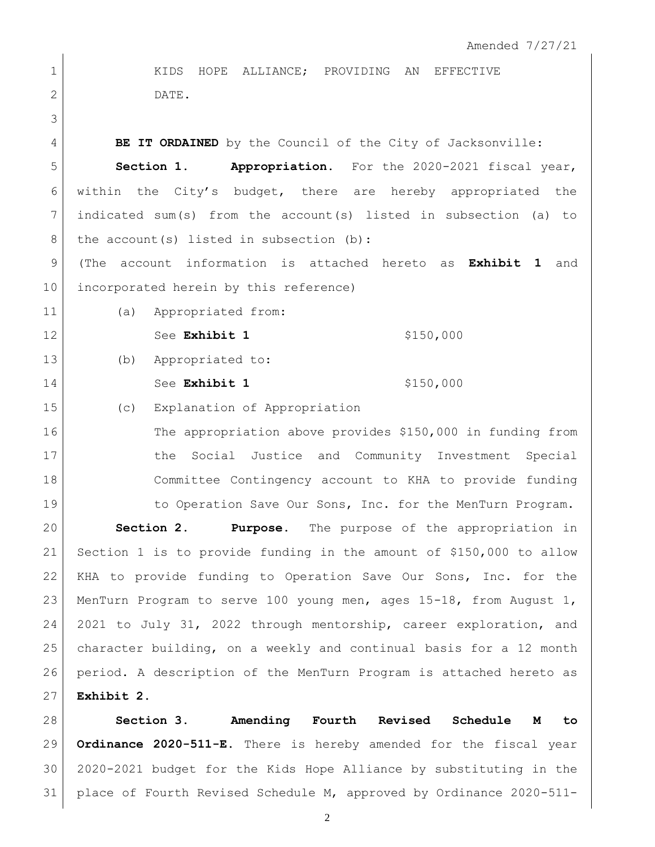1 KIDS HOPE ALLIANCE; PROVIDING AN EFFECTIVE 2 DATE. **BE IT ORDAINED** by the Council of the City of Jacksonville: **Section 1. Appropriation.** For the 2020-2021 fiscal year, within the City's budget, there are hereby appropriated the indicated sum(s) from the account(s) listed in subsection (a) to 8 the account (s) listed in subsection (b): (The account information is attached hereto as **Exhibit 1** and incorporated herein by this reference) 11 (a) Appropriated from: 12 See Exhibit 1 \$150,000 (b) Appropriated to: 14 See Exhibit 1 \$150,000 (c) Explanation of Appropriation The appropriation above provides \$150,000 in funding from 17 17 the Social Justice and Community Investment Special Committee Contingency account to KHA to provide funding 19 19 to Operation Save Our Sons, Inc. for the MenTurn Program. **Section 2. Purpose.** The purpose of the appropriation in Section 1 is to provide funding in the amount of \$150,000 to allow KHA to provide funding to Operation Save Our Sons, Inc. for the MenTurn Program to serve 100 young men, ages 15-18, from August 1, 2021 to July 31, 2022 through mentorship, career exploration, and character building, on a weekly and continual basis for a 12 month period. A description of the MenTurn Program is attached hereto as **Exhibit 2**.

 **Section 3. Amending Fourth Revised Schedule M to Ordinance 2020-511-E.** There is hereby amended for the fiscal year 2020-2021 budget for the Kids Hope Alliance by substituting in the place of Fourth Revised Schedule M, approved by Ordinance 2020-511-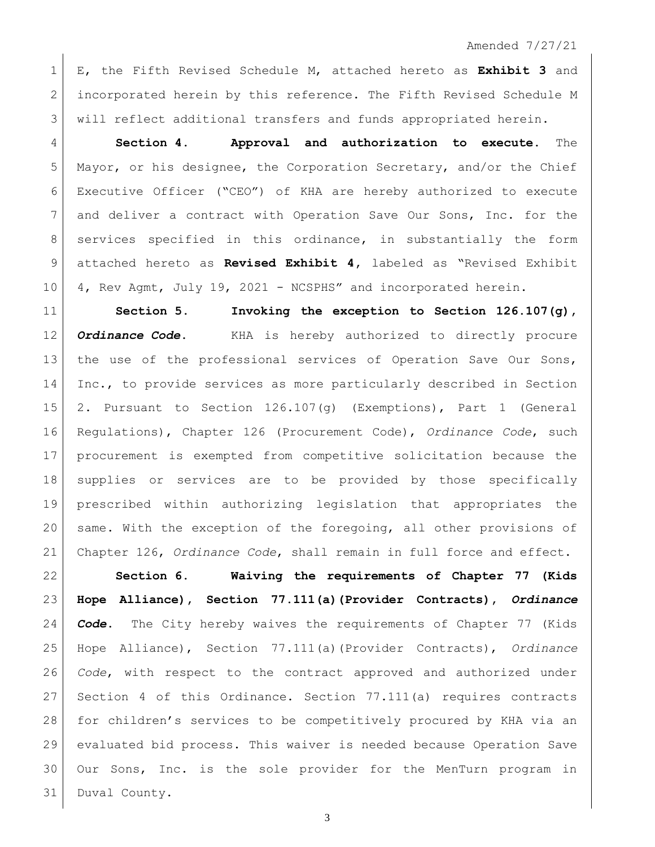E, the Fifth Revised Schedule M, attached hereto as **Exhibit 3** and incorporated herein by this reference. The Fifth Revised Schedule M will reflect additional transfers and funds appropriated herein.

 **Section 4. Approval and authorization to execute.** The Mayor, or his designee, the Corporation Secretary, and/or the Chief Executive Officer ("CEO") of KHA are hereby authorized to execute and deliver a contract with Operation Save Our Sons, Inc. for the 8 services specified in this ordinance, in substantially the form attached hereto as **Revised Exhibit 4,** labeled as "Revised Exhibit 10 4, Rev Agmt, July 19, 2021 - NCSPHS" and incorporated herein.

 **Section 5. Invoking the exception to Section 126.107(g),**  *Ordinance Code*. KHA is hereby authorized to directly procure 13 | the use of the professional services of Operation Save Our Sons, Inc., to provide services as more particularly described in Section 2. Pursuant to Section 126.107(g) (Exemptions), Part 1 (General Regulations), Chapter 126 (Procurement Code), *Ordinance Code*, such procurement is exempted from competitive solicitation because the supplies or services are to be provided by those specifically prescribed within authorizing legislation that appropriates the same. With the exception of the foregoing, all other provisions of Chapter 126, *Ordinance Code*, shall remain in full force and effect.

 **Section 6. Waiving the requirements of Chapter 77 (Kids Hope Alliance), Section 77.111(a)(Provider Contracts),** *Ordinance Code***.** The City hereby waives the requirements of Chapter 77 (Kids Hope Alliance), Section 77.111(a)(Provider Contracts), *Ordinance Code*, with respect to the contract approved and authorized under Section 4 of this Ordinance. Section 77.111(a) requires contracts for children's services to be competitively procured by KHA via an evaluated bid process. This waiver is needed because Operation Save Our Sons, Inc. is the sole provider for the MenTurn program in Duval County.